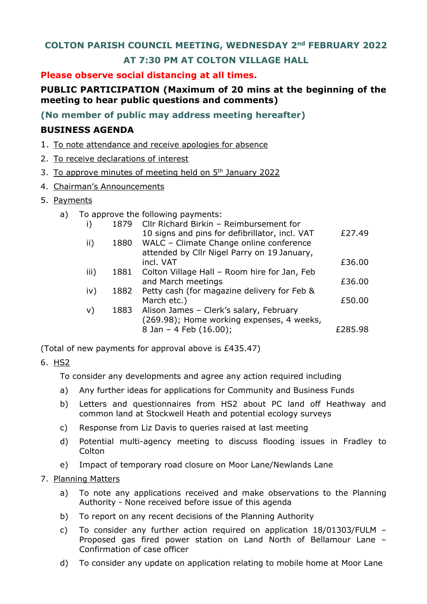## **COLTON PARISH COUNCIL MEETING, WEDNESDAY 2nd FEBRUARY 2022**

# **AT 7:30 PM AT COLTON VILLAGE HALL**

### **Please observe social distancing at all times.**

# **PUBLIC PARTICIPATION (Maximum of 20 mins at the beginning of the meeting to hear public questions and comments)**

**(No member of public may address meeting hereafter)**

## **BUSINESS AGENDA**

- 1. To note attendance and receive apologies for absence
- 2. To receive declarations of interest
- 3. To approve minutes of meeting held on 5<sup>th</sup> January 2022
- 4. Chairman's Announcements
- 5. Payments
	- a) To approve the following payments:

| i)   | 1879 | Cllr Richard Birkin - Reimbursement for        |         |
|------|------|------------------------------------------------|---------|
|      |      | 10 signs and pins for defibrillator, incl. VAT | £27.49  |
| ii)  | 1880 | WALC - Climate Change online conference        |         |
|      |      | attended by Cllr Nigel Parry on 19 January,    |         |
|      |      | incl. VAT                                      | £36.00  |
| iii) | 1881 | Colton Village Hall - Room hire for Jan, Feb   |         |
|      |      | and March meetings                             | £36.00  |
| iv)  | 1882 | Petty cash (for magazine delivery for Feb &    |         |
|      |      | March etc.)                                    | £50.00  |
| v)   | 1883 | Alison James - Clerk's salary, February        |         |
|      |      | (269.98); Home working expenses, 4 weeks,      |         |
|      |      | 8 Jan - 4 Feb (16.00);                         | £285.98 |

(Total of new payments for approval above is £435.47)

## 6. HS2

To consider any developments and agree any action required including

- a) Any further ideas for applications for Community and Business Funds
- b) Letters and questionnaires from HS2 about PC land off Heathway and common land at Stockwell Heath and potential ecology surveys
- c) Response from Liz Davis to queries raised at last meeting
- d) Potential multi-agency meeting to discuss flooding issues in Fradley to **Colton**
- e) Impact of temporary road closure on Moor Lane/Newlands Lane

#### 7. Planning Matters

- a) To note any applications received and make observations to the Planning Authority - None received before issue of this agenda
- b) To report on any recent decisions of the Planning Authority
- c) To consider any further action required on application 18/01303/FULM Proposed gas fired power station on Land North of Bellamour Lane – Confirmation of case officer
- d) To consider any update on application relating to mobile home at Moor Lane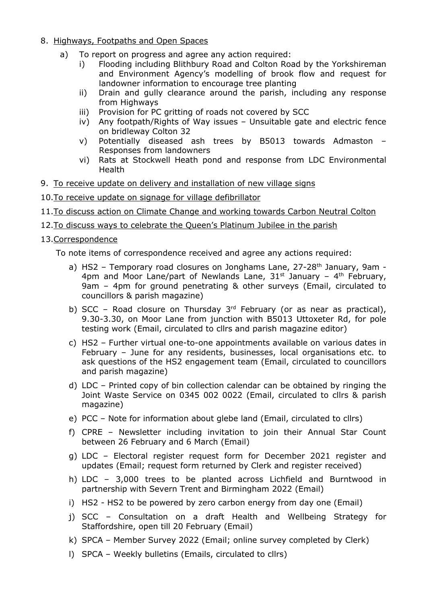- 8. Highways, Footpaths and Open Spaces
	- a) To report on progress and agree any action required:
		- i) Flooding including Blithbury Road and Colton Road by the Yorkshireman and Environment Agency's modelling of brook flow and request for landowner information to encourage tree planting
		- ii) Drain and gully clearance around the parish, including any response from Highways
		- iii) Provision for PC gritting of roads not covered by SCC
		- iv) Any footpath/Rights of Way issues Unsuitable gate and electric fence on bridleway Colton 32
		- v) Potentially diseased ash trees by B5013 towards Admaston Responses from landowners
		- vi) Rats at Stockwell Heath pond and response from LDC Environmental Health
- 9. To receive update on delivery and installation of new village signs
- 10.To receive update on signage for village defibrillator
- 11.To discuss action on Climate Change and working towards Carbon Neutral Colton
- 12.To discuss ways to celebrate the Queen's Platinum Jubilee in the parish

### 13.Correspondence

To note items of correspondence received and agree any actions required:

- a) HS2 Temporary road closures on Jonghams Lane, 27-28<sup>th</sup> January, 9am -4pm and Moor Lane/part of Newlands Lane,  $31^{st}$  January -  $4^{th}$  February, 9am – 4pm for ground penetrating & other surveys (Email, circulated to councillors & parish magazine)
- b) SCC Road closure on Thursday  $3<sup>rd</sup>$  February (or as near as practical), 9.30-3.30, on Moor Lane from junction with B5013 Uttoxeter Rd, for pole testing work (Email, circulated to cllrs and parish magazine editor)
- c) HS2 Further virtual one-to-one appointments available on various dates in February – June for any residents, businesses, local organisations etc. to ask questions of the HS2 engagement team (Email, circulated to councillors and parish magazine)
- d) LDC Printed copy of bin collection calendar can be obtained by ringing the Joint Waste Service on 0345 002 0022 (Email, circulated to cllrs & parish magazine)
- e) PCC Note for information about glebe land (Email, circulated to cllrs)
- f) CPRE Newsletter including invitation to join their Annual Star Count between 26 February and 6 March (Email)
- g) LDC Electoral register request form for December 2021 register and updates (Email; request form returned by Clerk and register received)
- h) LDC 3,000 trees to be planted across Lichfield and Burntwood in partnership with Severn Trent and Birmingham 2022 (Email)
- i) HS2 HS2 to be powered by zero carbon energy from day one (Email)
- j) SCC Consultation on a draft Health and Wellbeing Strategy for Staffordshire, open till 20 February (Email)
- k) SPCA Member Survey 2022 (Email; online survey completed by Clerk)
- l) SPCA Weekly bulletins (Emails, circulated to cllrs)